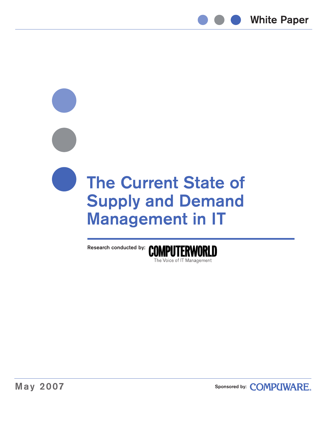

# **The Current State of Supply and Demand Management in IT**



**Sponsored by[:](www.compuware.com) COMPUWARE.**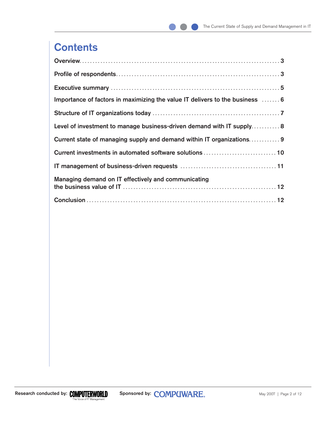# **Contents**

| Importance of factors in maximizing the value IT delivers to the business  6 |
|------------------------------------------------------------------------------|
|                                                                              |
| Level of investment to manage business-driven demand with IT supply 8        |
| Current state of managing supply and demand within IT organizations 9        |
|                                                                              |
|                                                                              |
| Managing demand on IT effectively and communicating                          |
|                                                                              |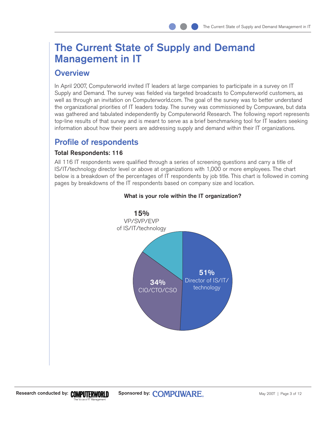## <span id="page-2-0"></span>**The Current State of Supply and Demand Management in IT**

### **Overview**

In April 2007, Computerworld invited IT leaders at large companies to participate in a survey on IT Supply and Demand. The survey was fielded via targeted broadcasts to Computerworld customers, as well as through an invitation on Computerworld.com. The goal of the survey was to better understand the organizational priorities of IT leaders today. The survey was commissioned by Compuware, but data was gathered and tabulated independently by Computerworld Research. The following report represents top-line results of that survey and is meant to serve as a brief benchmarking tool for IT leaders seeking information about how their peers are addressing supply and demand within their IT organizations.

## **Profile of respondents**

#### **Total Respondents: 116**

All 116 IT respondents were qualified through a series of screening questions and carry a title of IS/IT/technology director level or above at organizations with 1,000 or more employees. The chart below is a breakdown of the percentages of IT respondents by job title. This chart is followed in coming pages by breakdowns of the IT respondents based on company size and location.



#### **What is your role within the IT organization?**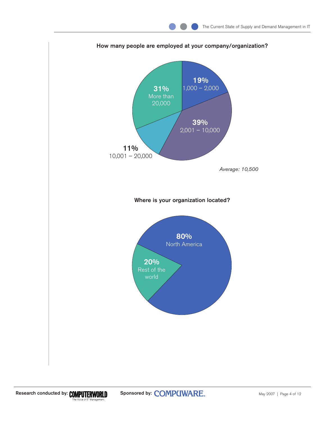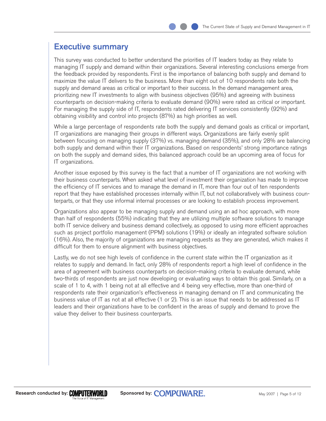## <span id="page-4-0"></span>**Executive summary**

This survey was conducted to better understand the priorities of IT leaders today as they relate to managing IT supply and demand within their organizations. Several interesting conclusions emerge from the feedback provided by respondents. First is the importance of balancing both supply and demand to maximize the value IT delivers to the business. More than eight out of 10 respondents rate both the supply and demand areas as critical or important to their success. In the demand management area, prioritizing new IT investments to align with business objectives (95%) and agreeing with business counterparts on decision-making criteria to evaluate demand (90%) were rated as critical or important. For managing the supply side of IT, respondents rated delivering IT services consistently (92%) and obtaining visibility and control into projects (87%) as high priorities as well.

While a large percentage of respondents rate both the supply and demand goals as critical or important, IT organizations are managing their groups in different ways. Organizations are fairly evenly split between focusing on managing supply (37%) vs. managing demand (35%), and only 28% are balancing both supply and demand within their IT organizations. Based on respondents' strong importance ratings on both the supply and demand sides, this balanced approach could be an upcoming area of focus for IT organizations.

Another issue exposed by this survey is the fact that a number of IT organizations are not working with their business counterparts. When asked what level of investment their organization has made to improve the efficiency of IT services and to manage the demand in IT, more than four out of ten respondents report that they have established processes internally within IT, but not collaboratively with business counterparts, or that they use informal internal processes or are looking to establish process improvement.

Organizations also appear to be managing supply and demand using an ad hoc approach, with more than half of respondents (55%) indicating that they are utilizing multiple software solutions to manage both IT service delivery and business demand collectively, as opposed to using more efficient approaches such as project portfolio management (PPM) solutions (19%) or ideally an integrated software solution (16%). Also, the majority of organizations are managing requests as they are generated, which makes it difficult for them to ensure alignment with business objectives.

Lastly, we do not see high levels of confidence in the current state within the IT organization as it relates to supply and demand. In fact, only 28% of respondents report a high level of confidence in the area of agreement with business counterparts on decision-making criteria to evaluate demand, while two-thirds of respondents are just now developing or evaluating ways to obtain this goal. Similarly, on a scale of 1 to 4, with 1 being not at all effective and 4 being very effective, more than one-third of respondents rate their organization's effectiveness in managing demand on IT and communicating the business value of IT as not at all effective (1 or 2). This is an issue that needs to be addressed as IT leaders and their organizations have to be confident in the areas of supply and demand to prove the value they deliver to their business counterparts.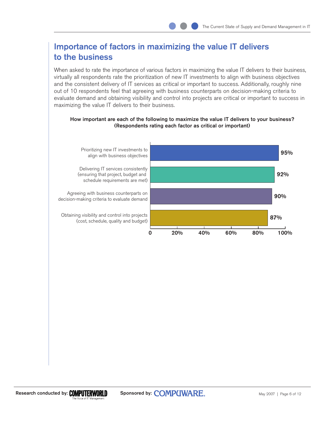## <span id="page-5-0"></span>**Importance of factors in maximizing the value IT delivers to the business**

When asked to rate the importance of various factors in maximizing the value IT delivers to their business, virtually all respondents rate the prioritization of new IT investments to align with business objectives and the consistent delivery of IT services as critical or important to success. Additionally, roughly nine out of 10 respondents feel that agreeing with business counterparts on decision-making criteria to evaluate demand and obtaining visibility and control into projects are critical or important to success in maximizing the value IT delivers to their business.



# **How important are each of the following to maximize the value IT delivers to your business?**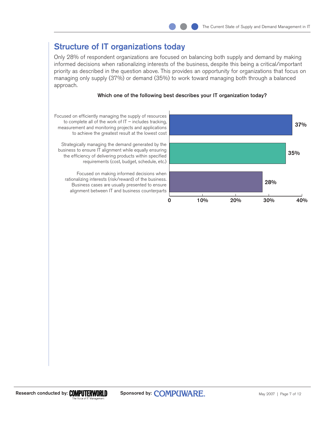## <span id="page-6-0"></span>**Structure of IT organizations today**

Only 28% of respondent organizations are focused on balancing both supply and demand by making informed decisions when rationalizing interests of the business, despite this being a critical/important priority as described in the question above. This provides an opportunity for organizations that focus on managing only supply (37%) or demand (35%) to work toward managing both through a balanced approach.

#### **Which one of the following best describes your IT organization today?**



Focused on efficiently managing the supply of resources to complete all of the work of  $IT$  – includes tracking, measurement and monitoring projects and applications to achieve the greatest result at the lowest cost

Strategically managing the demand generated by the business to ensure IT alignment while equally ensuring the efficiency of delivering products within specified requirements (cost, budget, schedule, etc.)

Focused on making informed decisions when rationalizing interests (risk/reward) of the business. Business cases are usually presented to ensure alignment between IT and business counterparts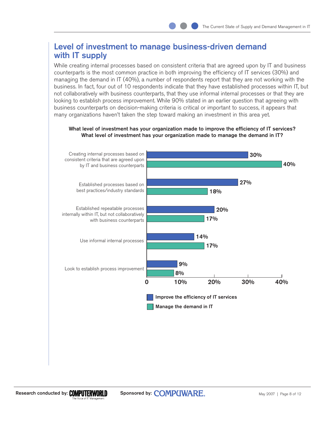## <span id="page-7-0"></span>**Level of investment to manage business-driven demand with IT supply**

While creating internal processes based on consistent criteria that are agreed upon by IT and business counterparts is the most common practice in both improving the efficiency of IT services (30%) and managing the demand in IT (40%), a number of respondents report that they are not working with the business. In fact, four out of 10 respondents indicate that they have established processes within IT, but not collaboratively with business counterparts, that they use informal internal processes or that they are looking to establish process improvement. While 90% stated in an earlier question that agreeing with business counterparts on decision-making criteria is critical or important to success, it appears that many organizations haven't taken the step toward making an investment in this area yet.

**What level of investment has your organization made to improve the efficiency of IT services? What level of investment has your organization made to manage the demand in IT?**

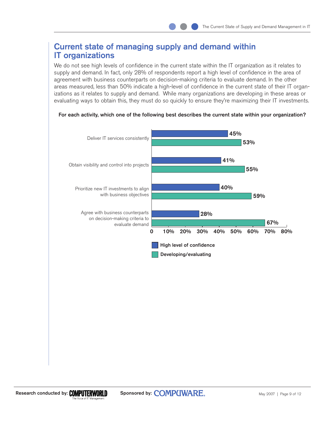## <span id="page-8-0"></span>**Current state of managing supply and demand within IT organizations**

We do not see high levels of confidence in the current state within the IT organization as it relates to supply and demand. In fact, only 28% of respondents report a high level of confidence in the area of agreement with business counterparts on decision-making criteria to evaluate demand. In the other areas measured, less than 50% indicate a high-level of confidence in the current state of their IT organizations as it relates to supply and demand. While many organizations are developing in these areas or evaluating ways to obtain this, they must do so quickly to ensure they're maximizing their IT investments.

#### **For each activity, which one of the following best describes the current state within your organization?**

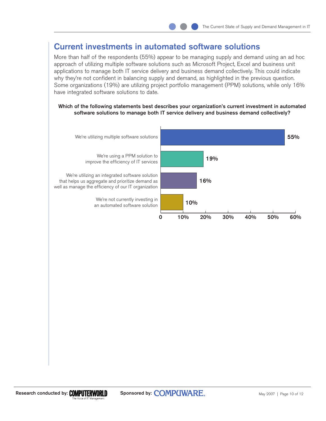## **Current investments in automated software solutions**

More than half of the respondents (55%) appear to be managing supply and demand using an ad hoc approach of utilizing multiple software solutions such as Microsoft Project, Excel and business unit applications to manage both IT service delivery and business demand collectively. This could indicate why they're not confident in balancing supply and demand, as highlighted in the previous question. Some organizations (19%) are utilizing project portfolio management (PPM) solutions, while only 16% have integrated software solutions to date.

#### **Which of the following statements best describes your organization's current investment in automated software solutions to manage both IT service delivery and business demand collectively?**

<span id="page-9-0"></span>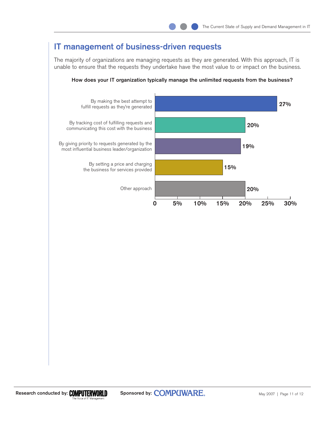## **IT management of business-driven requests**

The majority of organizations are managing requests as they are generated. With this approach, IT is unable to ensure that the requests they undertake have the most value to or impact on the business.

<span id="page-10-0"></span>

#### **How does your IT organization typically manage the unlimited requests from the business?**